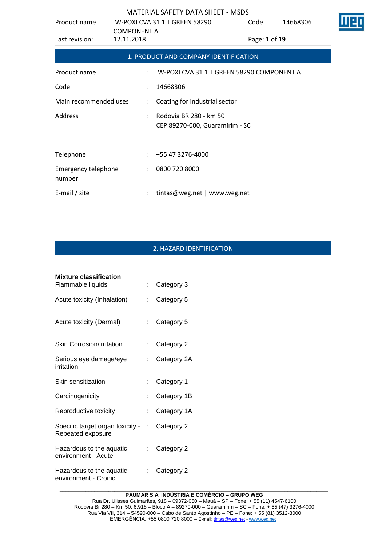| Product name                         |                                  | W-POXI CVA 31 1 T GREEN 58290                            | Code          | 14668306 |  |
|--------------------------------------|----------------------------------|----------------------------------------------------------|---------------|----------|--|
| Last revision:                       | <b>COMPONENT A</b><br>12.11.2018 |                                                          | Page: 1 of 19 |          |  |
|                                      |                                  | 1. PRODUCT AND COMPANY IDENTIFICATION                    |               |          |  |
| Product name                         | ÷                                | W-POXI CVA 31 1 T GREEN 58290 COMPONENT A                |               |          |  |
| Code                                 |                                  | 14668306                                                 |               |          |  |
| Main recommended uses                | $\ddot{\phantom{a}}$             | Coating for industrial sector                            |               |          |  |
| Address                              |                                  | Rodovia BR 280 - km 50<br>CEP 89270-000, Guaramirim - SC |               |          |  |
|                                      |                                  |                                                          |               |          |  |
| Telephone                            |                                  | $: +55473276-4000$                                       |               |          |  |
| <b>Emergency telephone</b><br>number | $\ddot{\phantom{0}}$             | 0800 720 8000                                            |               |          |  |
| E-mail / site                        |                                  | tintas@weg.net   www.weg.net                             |               |          |  |

# 2. HAZARD IDENTIFICATION

| <b>Mixture classification</b><br>Flammable liquids      | t.                        | Category 3  |
|---------------------------------------------------------|---------------------------|-------------|
|                                                         |                           |             |
| Acute toxicity (Inhalation)                             | t.                        | Category 5  |
| Acute toxicity (Dermal)                                 | $\mathbb{R}^{\mathbb{Z}}$ | Category 5  |
| <b>Skin Corrosion/irritation</b>                        | t.                        | Category 2  |
| Serious eye damage/eye<br>irritation                    | t.                        | Category 2A |
| Skin sensitization                                      | t.                        | Category 1  |
| Carcinogenicity                                         |                           | Category 1B |
| Reproductive toxicity                                   | t.                        | Category 1A |
| Specific target organ toxicity - :<br>Repeated exposure |                           | Category 2  |
| Hazardous to the aquatic<br>environment - Acute         |                           | Category 2  |
| Hazardous to the aquatic<br>environment - Cronic        |                           | Category 2  |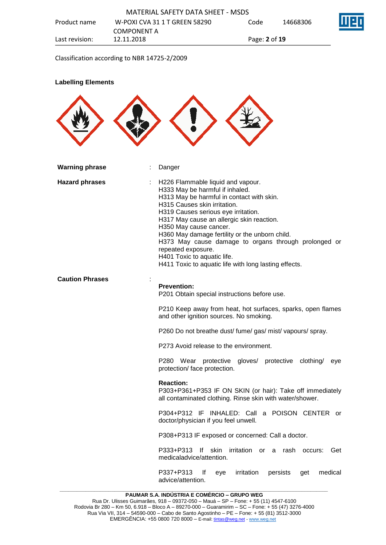Classification according to NBR 14725-2/2009

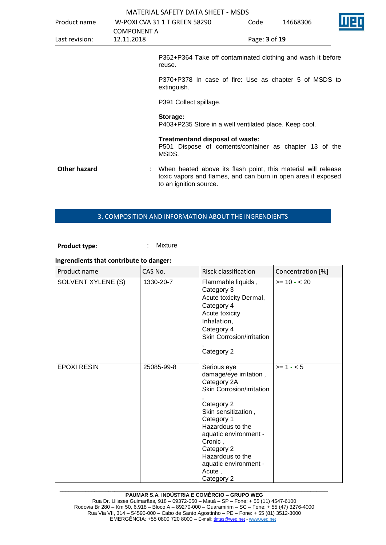|                |                    | <b>MATERIAL SAFETY DATA SHEET - MSDS</b>                                                                                                                 |               |          |  |
|----------------|--------------------|----------------------------------------------------------------------------------------------------------------------------------------------------------|---------------|----------|--|
| Product name   |                    | W-POXI CVA 31 1 T GREEN 58290                                                                                                                            | Code          | 14668306 |  |
|                | <b>COMPONENT A</b> |                                                                                                                                                          |               |          |  |
| Last revision: | 12.11.2018         |                                                                                                                                                          | Page: 3 of 19 |          |  |
|                |                    | P362+P364 Take off contaminated clothing and wash it before<br>reuse.                                                                                    |               |          |  |
|                |                    | P370+P378 In case of fire: Use as chapter 5 of MSDS to<br>extinguish.                                                                                    |               |          |  |
|                |                    | P391 Collect spillage.                                                                                                                                   |               |          |  |
|                |                    | Storage:<br>P403+P235 Store in a well ventilated place. Keep cool.                                                                                       |               |          |  |
|                |                    | Treatmentand disposal of waste:<br>P501 Dispose of contents/container as chapter 13 of the<br>MSDS.                                                      |               |          |  |
| Other hazard   |                    | When heated above its flash point, this material will release<br>toxic vapors and flames, and can burn in open area if exposed<br>to an ignition source. |               |          |  |

#### 3. COMPOSITION AND INFORMATION ABOUT THE INGRENDIENTS

Product type: **: Mixture** 

# **Ingrendients that contribute to danger:**

| Product name       | CAS No.    | Risck classification                                                                                                                                                                                                                                                            | Concentration [%] |
|--------------------|------------|---------------------------------------------------------------------------------------------------------------------------------------------------------------------------------------------------------------------------------------------------------------------------------|-------------------|
| SOLVENT XYLENE (S) | 1330-20-7  | Flammable liquids,<br>Category 3<br>Acute toxicity Dermal,<br>Category 4<br>Acute toxicity<br>Inhalation,<br>Category 4<br>Skin Corrosion/irritation<br>Category 2                                                                                                              | $>= 10 - 20$      |
| <b>EPOXI RESIN</b> | 25085-99-8 | Serious eye<br>damage/eye irritation,<br>Category 2A<br>Skin Corrosion/irritation<br>Category 2<br>Skin sensitization,<br>Category 1<br>Hazardous to the<br>aquatic environment -<br>Cronic,<br>Category 2<br>Hazardous to the<br>aquatic environment -<br>Acute,<br>Category 2 | $>= 1 - 5$        |

#### **\_\_\_\_\_\_\_\_\_\_\_\_\_\_\_\_\_\_\_\_\_\_\_\_\_\_\_\_\_\_\_\_\_\_\_\_\_\_\_\_\_\_\_\_\_\_\_\_\_\_\_\_\_\_\_\_\_\_\_\_\_\_\_\_\_\_\_\_\_\_\_\_\_\_\_\_\_\_\_\_\_\_\_\_\_\_\_\_\_\_\_\_\_ PAUMAR S.A. INDÚSTRIA E COMÉRCIO – GRUPO WEG**

Rua Dr. Ulisses Guimarães, 918 – 09372-050 – Mauá – SP – Fone: + 55 (11) 4547-6100 Rodovia Br 280 – Km 50, 6.918 – Bloco A – 89270-000 – Guaramirim – SC – Fone: + 55 (47) 3276-4000 Rua Via VII, 314 – 54590-000 – Cabo de Santo Agostinho – PE – Fone: + 55 (81) 3512-3000 EMERGËNCIA: +55 0800 720 8000 – E-mail[: tintas@weg.net](mailto:tintas@weg.net) - [www.weg.net](http://www.weg.net/)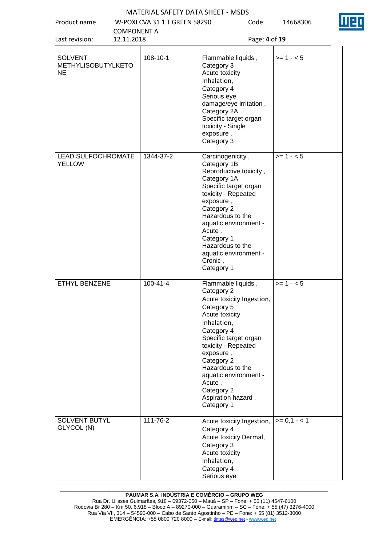Product name W-POXI CVA 31 1 T GREEN 58290

Code 14668306



| <b>COMPONENT A</b><br>12.11.2018<br>Last revision: |                | Page: 4 of 19                                                                                                                                                                                                                                                                                                  |              |  |
|----------------------------------------------------|----------------|----------------------------------------------------------------------------------------------------------------------------------------------------------------------------------------------------------------------------------------------------------------------------------------------------------------|--------------|--|
| <b>SOLVENT</b><br><b>METHYLISOBUTYLKETO</b><br>NE  | 108-10-1       | Flammable liquids,<br>Category 3<br>Acute toxicity<br>Inhalation,<br>Category 4<br>Serious eye<br>damage/eye irritation,<br>Category 2A<br>Specific target organ<br>toxicity - Single<br>exposure,<br>Category 3                                                                                               | $>= 1 - 5$   |  |
| LEAD SULFOCHROMATE<br>YELLOW                       | 1344-37-2      | Carcinogenicity,<br>Category 1B<br>Reproductive toxicity,<br>Category 1A<br>Specific target organ<br>toxicity - Repeated<br>exposure,<br>Category 2<br>Hazardous to the<br>aquatic environment -<br>Acute,<br>Category 1<br>Hazardous to the<br>aquatic environment -<br>Cronic,<br>Category 1                 | $>= 1 - 5$   |  |
| ETHYL BENZENE                                      | $100 - 41 - 4$ | Flammable liquids,<br>Category 2<br>Acute toxicity Ingestion,<br>Category 5<br>Acute toxicity<br>Inhalation,<br>Category 4<br>Specific target organ<br>toxicity - Repeated<br>exposure,<br>Category 2<br>Hazardous to the<br>aquatic environment -<br>Acute,<br>Category 2<br>Aspiration hazard,<br>Category 1 | $>= 1 - 5$   |  |
| <b>SOLVENT BUTYL</b><br>GLYCOL (N)                 | 111-76-2       | Acute toxicity Ingestion,<br>Category 4<br>Acute toxicity Dermal,<br>Category 3<br>Acute toxicity<br>Inhalation,<br>Category 4<br>Serious eye                                                                                                                                                                  | $>= 0,1 - 1$ |  |

#### **\_\_\_\_\_\_\_\_\_\_\_\_\_\_\_\_\_\_\_\_\_\_\_\_\_\_\_\_\_\_\_\_\_\_\_\_\_\_\_\_\_\_\_\_\_\_\_\_\_\_\_\_\_\_\_\_\_\_\_\_\_\_\_\_\_\_\_\_\_\_\_\_\_\_\_\_\_\_\_\_\_\_\_\_\_\_\_\_\_\_\_\_\_ PAUMAR S.A. INDÚSTRIA E COMÉRCIO – GRUPO WEG**

Rua Dr. Ulisses Guimarães, 918 – 09372-050 – Mauá – SP – Fone: + 55 (11) 4547-6100 Rodovia Br 280 – Km 50, 6.918 – Bloco A – 89270-000 – Guaramirim – SC – Fone: + 55 (47) 3276-4000 Rua Via VII, 314 – 54590-000 – Cabo de Santo Agostinho – PE – Fone: + 55 (81) 3512-3000 EMERGËNCIA: +55 0800 720 8000 – E-mail[: tintas@weg.net](mailto:tintas@weg.net) - [www.weg.net](http://www.weg.net/)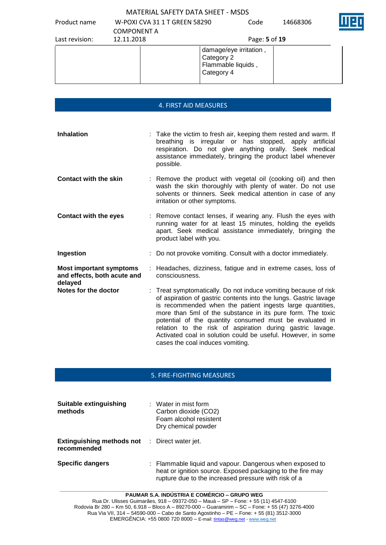Product name W-POXI CVA 31 1 T GREEN 58290

Code 14668306



| Last revision: | <b>COMPONENT A</b><br>12.11.2018 | Page: 5 of 19                                                            |
|----------------|----------------------------------|--------------------------------------------------------------------------|
|                |                                  | damage/eye irritation,<br>Category 2<br>Flammable liquids,<br>Category 4 |

#### 4. FIRST AID MEASURES

**Inhalation** : Take the victim to fresh air, keeping them rested and warm. If breathing is irregular or has stopped, apply artificial respiration. Do not give anything orally. Seek medical assistance immediately, bringing the product label whenever possible. **Contact with the skin** : Remove the product with vegetal oil (cooking oil) and then wash the skin thoroughly with plenty of water. Do not use solvents or thinners. Seek medical attention in case of any irritation or other symptoms. **Contact with the eyes** : Remove contact lenses, if wearing any. Flush the eyes with running water for at least 15 minutes, holding the eyelids apart. Seek medical assistance immediately, bringing the product label with you. **Ingestion** : Do not provoke vomiting. Consult with a doctor immediately. **Most important symptoms and effects, both acute and delayed** : Headaches, dizziness, fatigue and in extreme cases, loss of consciousness. **Notes for the doctor** : Treat symptomatically. Do not induce vomiting because of risk of aspiration of gastric contents into the lungs. Gastric lavage is recommended when the patient ingests large quantities, more than 5ml of the substance in its pure form. The toxic potential of the quantity consumed must be evaluated in relation to the risk of aspiration during gastric lavage. Activated coal in solution could be useful. However, in some cases the coal induces vomiting.

### 5. FIRE-FIGHTING MEASURES

| Suitable extinguishing<br>methods                                   | $\therefore$ Water in mist form<br>Carbon dioxide (CO2)<br>Foam alcohol resistent<br>Dry chemical powder                                                                       |
|---------------------------------------------------------------------|--------------------------------------------------------------------------------------------------------------------------------------------------------------------------------|
| <b>Extinguishing methods not</b> : Direct water jet.<br>recommended |                                                                                                                                                                                |
| <b>Specific dangers</b>                                             | : Flammable liquid and vapour. Dangerous when exposed to<br>heat or ignition source. Exposed packaging to the fire may<br>rupture due to the increased pressure with risk of a |

**PAUMAR S.A. INDÚSTRIA E COMÉRCIO – GRUPO WEG** Rua Dr. Ulisses Guimarães, 918 – 09372-050 – Mauá – SP – Fone: + 55 (11) 4547-6100 Rodovia Br 280 – Km 50, 6.918 – Bloco A – 89270-000 – Guaramirim – SC – Fone: + 55 (47) 3276-4000 Rua Via VII, 314 – 54590-000 – Cabo de Santo Agostinho – PE – Fone: + 55 (81) 3512-3000 EMERGÊNCIA: +55 0800 720 8000 – E-mail[: tintas@weg.net](mailto:tintas@weg.net) - [www.weg.net](http://www.weg.net/)

**\_\_\_\_\_\_\_\_\_\_\_\_\_\_\_\_\_\_\_\_\_\_\_\_\_\_\_\_\_\_\_\_\_\_\_\_\_\_\_\_\_\_\_\_\_\_\_\_\_\_\_\_\_\_\_\_\_\_\_\_\_\_\_\_\_\_\_\_\_\_\_\_\_\_\_\_\_\_\_\_\_\_\_\_\_\_\_\_\_\_\_\_\_**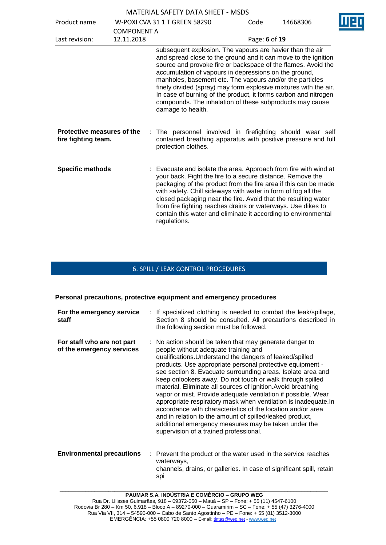| Product name                                      | <b>COMPONENT A</b> | W-POXI CVA 31 1 T GREEN 58290                                                                                                                                                                                                                                                                                                                                                                                                                                                                                                             | Code          | 14668306 |  |
|---------------------------------------------------|--------------------|-------------------------------------------------------------------------------------------------------------------------------------------------------------------------------------------------------------------------------------------------------------------------------------------------------------------------------------------------------------------------------------------------------------------------------------------------------------------------------------------------------------------------------------------|---------------|----------|--|
| Last revision:                                    | 12.11.2018         |                                                                                                                                                                                                                                                                                                                                                                                                                                                                                                                                           | Page: 6 of 19 |          |  |
|                                                   |                    | subsequent explosion. The vapours are havier than the air<br>and spread close to the ground and it can move to the ignition<br>source and provoke fire or backspace of the flames. Avoid the<br>accumulation of vapours in depressions on the ground,<br>manholes, basement etc. The vapours and/or the particles<br>finely divided (spray) may form explosive mixtures with the air.<br>In case of burning of the product, it forms carbon and nitrogen<br>compounds. The inhalation of these subproducts may cause<br>damage to health. |               |          |  |
| Protective measures of the<br>fire fighting team. |                    | The personnel involved in firefighting should wear self<br>contained breathing apparatus with positive pressure and full<br>protection clothes.                                                                                                                                                                                                                                                                                                                                                                                           |               |          |  |
| <b>Specific methods</b>                           |                    | Evacuate and isolate the area. Approach from fire with wind at<br>your back. Fight the fire to a secure distance. Remove the<br>packaging of the product from the fire area if this can be made<br>with safety. Chill sideways with water in form of fog all the<br>closed packaging near the fire. Avoid that the resulting water<br>from fire fighting reaches drains or waterways. Use dikes to<br>contain this water and eliminate it according to environmental<br>regulations.                                                      |               |          |  |

# 6. SPILL / LEAK CONTROL PROCEDURES

**Personal precautions, protective equipment and emergency procedures**

| For the emergency service<br>staff                      | : If specialized clothing is needed to combat the leak/spillage,<br>Section 8 should be consulted. All precautions described in<br>the following section must be followed.                                                                                                                                                                                                                                                                                                                                                                                                                                                                                                                                                                                                           |
|---------------------------------------------------------|--------------------------------------------------------------------------------------------------------------------------------------------------------------------------------------------------------------------------------------------------------------------------------------------------------------------------------------------------------------------------------------------------------------------------------------------------------------------------------------------------------------------------------------------------------------------------------------------------------------------------------------------------------------------------------------------------------------------------------------------------------------------------------------|
| For staff who are not part<br>of the emergency services | : No action should be taken that may generate danger to<br>people without adequate training and<br>qualifications. Understand the dangers of leaked/spilled<br>products. Use appropriate personal protective equipment -<br>see section 8. Evacuate surrounding areas. Isolate area and<br>keep onlookers away. Do not touch or walk through spilled<br>material. Eliminate all sources of ignition. Avoid breathing<br>vapor or mist. Provide adequate ventilation if possible. Wear<br>appropriate respiratory mask when ventilation is inadequate.In<br>accordance with characteristics of the location and/or area<br>and in relation to the amount of spilled/leaked product,<br>additional emergency measures may be taken under the<br>supervision of a trained professional. |
| <b>Environmental precautions</b><br>÷.                  | Prevent the product or the water used in the service reaches<br>waterways,<br>channels, drains, or galleries. In case of significant spill, retain                                                                                                                                                                                                                                                                                                                                                                                                                                                                                                                                                                                                                                   |

spi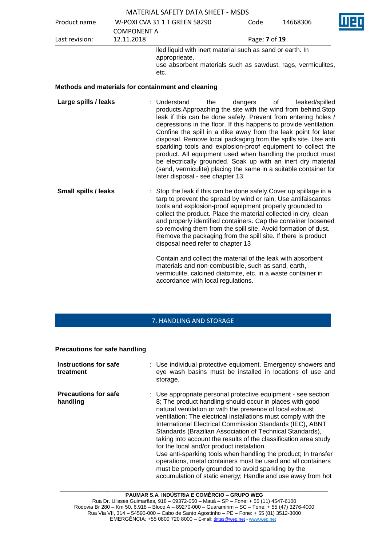|                             |                                  | <b>MATERIAL SAFETY DATA SHEET - MSDS</b>                                                                                                                                                                                                                                                                                                                                                                                                                                                                                                                                                                                                                                                           |               |                      |
|-----------------------------|----------------------------------|----------------------------------------------------------------------------------------------------------------------------------------------------------------------------------------------------------------------------------------------------------------------------------------------------------------------------------------------------------------------------------------------------------------------------------------------------------------------------------------------------------------------------------------------------------------------------------------------------------------------------------------------------------------------------------------------------|---------------|----------------------|
| Product name                |                                  | W-POXI CVA 31 1 T GREEN 58290                                                                                                                                                                                                                                                                                                                                                                                                                                                                                                                                                                                                                                                                      | Code          | 14668306             |
| Last revision:              | <b>COMPONENT A</b><br>12.11.2018 |                                                                                                                                                                                                                                                                                                                                                                                                                                                                                                                                                                                                                                                                                                    | Page: 7 of 19 |                      |
|                             |                                  | lled liquid with inert material such as sand or earth. In<br>approprieate,<br>use absorbent materials such as sawdust, rags, vermiculites,<br>etc.                                                                                                                                                                                                                                                                                                                                                                                                                                                                                                                                                 |               |                      |
|                             |                                  | Methods and materials for containment and cleaning                                                                                                                                                                                                                                                                                                                                                                                                                                                                                                                                                                                                                                                 |               |                      |
| Large spills / leaks        |                                  | : Understand<br>the<br>products. Approaching the site with the wind from behind. Stop<br>leak if this can be done safely. Prevent from entering holes /<br>depressions in the floor. If this happens to provide ventilation.<br>Confine the spill in a dike away from the leak point for later<br>disposal. Remove local packaging from the spills site. Use anti<br>sparkling tools and explosion-proof equipment to collect the<br>product. All equipment used when handling the product must<br>be electrically grounded. Soak up with an inert dry material<br>(sand, vermiculite) placing the same in a suitable container for<br>later disposal - see chapter 13.                            | dangers       | leaked/spilled<br>οf |
| <b>Small spills / leaks</b> |                                  | Stop the leak if this can be done safely. Cover up spillage in a<br>tarp to prevent the spread by wind or rain. Use antifaiscantes<br>tools and explosion-proof equipment properly grounded to<br>collect the product. Place the material collected in dry, clean<br>and properly identified containers. Cap the container loosened<br>so removing them from the spill site. Avoid formation of dust.<br>Remove the packaging from the spill site. If there is product<br>disposal need refer to chapter 13<br>Contain and collect the material of the leak with absorbent<br>materials and non-combustible, such as sand, earth,<br>vermiculite, calcined diatomite, etc. in a waste container in |               |                      |

# 7. HANDLING AND STORAGE

accordance with local regulations.

#### **Precautions for safe handling**

| Instructions for safe<br>treatment      | : Use individual protective equipment. Emergency showers and<br>eye wash basins must be installed in locations of use and<br>storage.                                                                                                                                                                                                                                                                                                                                                                                                                                                                                                                                                                                                                       |
|-----------------------------------------|-------------------------------------------------------------------------------------------------------------------------------------------------------------------------------------------------------------------------------------------------------------------------------------------------------------------------------------------------------------------------------------------------------------------------------------------------------------------------------------------------------------------------------------------------------------------------------------------------------------------------------------------------------------------------------------------------------------------------------------------------------------|
| <b>Precautions for safe</b><br>handling | : Use appropriate personal protective equipment - see section<br>8; The product handling should occur in places with good<br>natural ventilation or with the presence of local exhaust<br>ventilation; The electrical installations must comply with the<br>International Electrical Commission Standards (IEC), ABNT<br>Standards (Brazilian Association of Technical Standards),<br>taking into account the results of the classification area study<br>for the local and/or product instalation.<br>Use anti-sparking tools when handling the product; In transfer<br>operations, metal containers must be used and all containers<br>must be properly grounded to avoid sparkling by the<br>accumulation of static energy; Handle and use away from hot |

**\_\_\_\_\_\_\_\_\_\_\_\_\_\_\_\_\_\_\_\_\_\_\_\_\_\_\_\_\_\_\_\_\_\_\_\_\_\_\_\_\_\_\_\_\_\_\_\_\_\_\_\_\_\_\_\_\_\_\_\_\_\_\_\_\_\_\_\_\_\_\_\_\_\_\_\_\_\_\_\_\_\_\_\_\_\_\_\_\_\_\_\_\_**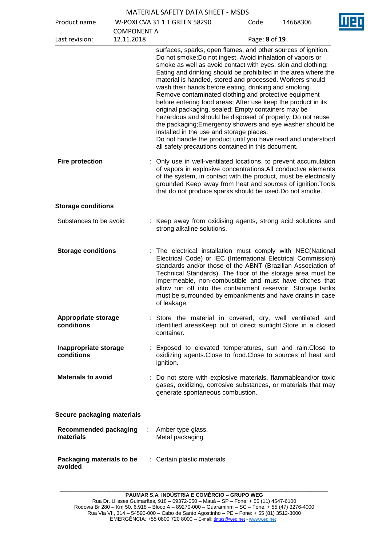|  | <b>MATERIAL SAFETY DATA SHEET - MSDS</b> |  |
|--|------------------------------------------|--|
|  |                                          |  |

Product name W-POXI CVA 31 1 T GREEN 58290

 $14669306$ 

| Product name                              |                                  | W-POXI CVA 31 1 T GREEN 58290                                                                                                                                                                                                                                                                                                                                                                                                                                                                                                                                                                                                                                                                                                                                                                                                                                     | Code          | 14668306 |
|-------------------------------------------|----------------------------------|-------------------------------------------------------------------------------------------------------------------------------------------------------------------------------------------------------------------------------------------------------------------------------------------------------------------------------------------------------------------------------------------------------------------------------------------------------------------------------------------------------------------------------------------------------------------------------------------------------------------------------------------------------------------------------------------------------------------------------------------------------------------------------------------------------------------------------------------------------------------|---------------|----------|
| Last revision:                            | <b>COMPONENT A</b><br>12.11.2018 |                                                                                                                                                                                                                                                                                                                                                                                                                                                                                                                                                                                                                                                                                                                                                                                                                                                                   | Page: 8 of 19 |          |
|                                           |                                  | surfaces, sparks, open flames, and other sources of ignition.<br>Do not smoke; Do not ingest. Avoid inhalation of vapors or<br>smoke as well as avoid contact with eyes, skin and clothing;<br>Eating and drinking should be prohibited in the area where the<br>material is handled, stored and processed. Workers should<br>wash their hands before eating, drinking and smoking.<br>Remove contaminated clothing and protective equipment<br>before entering food areas; After use keep the product in its<br>original packaging, sealed; Empty containers may be<br>hazardous and should be disposed of properly. Do not reuse<br>the packaging; Emergency showers and eye washer should be<br>installed in the use and storage places.<br>Do not handle the product until you have read and understood<br>all safety precautions contained in this document. |               |          |
| <b>Fire protection</b>                    |                                  | Only use in well-ventilated locations, to prevent accumulation<br>of vapors in explosive concentrations.All conductive elements<br>of the system, in contact with the product, must be electrically<br>grounded Keep away from heat and sources of ignition. Tools<br>that do not produce sparks should be used. Do not smoke.                                                                                                                                                                                                                                                                                                                                                                                                                                                                                                                                    |               |          |
| <b>Storage conditions</b>                 |                                  |                                                                                                                                                                                                                                                                                                                                                                                                                                                                                                                                                                                                                                                                                                                                                                                                                                                                   |               |          |
| Substances to be avoid                    |                                  | : Keep away from oxidising agents, strong acid solutions and<br>strong alkaline solutions.                                                                                                                                                                                                                                                                                                                                                                                                                                                                                                                                                                                                                                                                                                                                                                        |               |          |
| <b>Storage conditions</b>                 |                                  | The electrical installation must comply with NEC(National<br>Electrical Code) or IEC (International Electrical Commission)<br>standards and/or those of the ABNT (Brazilian Association of<br>Technical Standards). The floor of the storage area must be<br>impermeable, non-combustible and must have ditches that<br>allow run off into the containment reservoir. Storage tanks<br>must be surrounded by embankments and have drains in case<br>of leakage.                                                                                                                                                                                                                                                                                                                                                                                                   |               |          |
| <b>Appropriate storage</b><br>conditions  |                                  | : Store the material in covered, dry, well ventilated and<br>identified areasKeep out of direct sunlight. Store in a closed<br>container.                                                                                                                                                                                                                                                                                                                                                                                                                                                                                                                                                                                                                                                                                                                         |               |          |
| Inappropriate storage<br>conditions       |                                  | Exposed to elevated temperatures, sun and rain. Close to<br>oxidizing agents. Close to food. Close to sources of heat and<br>ignition.                                                                                                                                                                                                                                                                                                                                                                                                                                                                                                                                                                                                                                                                                                                            |               |          |
| <b>Materials to avoid</b>                 |                                  | : Do not store with explosive materials, flammableand/or toxic<br>gases, oxidizing, corrosive substances, or materials that may<br>generate spontaneous combustion.                                                                                                                                                                                                                                                                                                                                                                                                                                                                                                                                                                                                                                                                                               |               |          |
| Secure packaging materials                |                                  |                                                                                                                                                                                                                                                                                                                                                                                                                                                                                                                                                                                                                                                                                                                                                                                                                                                                   |               |          |
| <b>Recommended packaging</b><br>materials |                                  | Amber type glass.<br>Metal packaging                                                                                                                                                                                                                                                                                                                                                                                                                                                                                                                                                                                                                                                                                                                                                                                                                              |               |          |
| Packaging materials to be<br>avoided      |                                  | : Certain plastic materials                                                                                                                                                                                                                                                                                                                                                                                                                                                                                                                                                                                                                                                                                                                                                                                                                                       |               |          |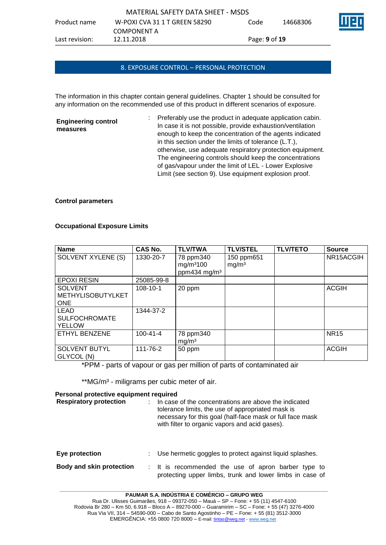#### 8. EXPOSURE CONTROL – PERSONAL PROTECTION

The information in this chapter contain general guidelines. Chapter 1 should be consulted for any information on the recommended use of this product in different scenarios of exposure.

**Engineering control measures** : Preferably use the product in adequate application cabin. In case it is not possible, provide exhaustion/ventilation enough to keep the concentration of the agents indicated in this section under the limits of tolerance (L.T.), otherwise, use adequate respiratory protection equipment. The engineering controls should keep the concentrations of gas/vapour under the limit of LEL - Lower Explosive Limit (see section 9). Use equipment explosion proof.

#### **Control parameters**

| <b>Name</b>                                              | <b>CAS No.</b> | <b>TLV/TWA</b>                                                 | <b>TLV/STEL</b>                 | <b>TLV/TETO</b> | <b>Source</b> |
|----------------------------------------------------------|----------------|----------------------------------------------------------------|---------------------------------|-----------------|---------------|
| SOLVENT XYLENE (S)                                       | 1330-20-7      | 78 ppm340<br>mg/m <sup>3</sup> 100<br>ppm434 mg/m <sup>3</sup> | 150 ppm651<br>mg/m <sup>3</sup> |                 | NR15ACGIH     |
| <b>EPOXI RESIN</b>                                       | 25085-99-8     |                                                                |                                 |                 |               |
| <b>SOLVENT</b><br><b>METHYLISOBUTYLKET</b><br><b>ONE</b> | 108-10-1       | 20 ppm                                                         |                                 |                 | <b>ACGIH</b>  |
| <b>LEAD</b><br><b>SULFOCHROMATE</b><br><b>YELLOW</b>     | 1344-37-2      |                                                                |                                 |                 |               |
| <b>ETHYL BENZENE</b>                                     | $100 - 41 - 4$ | 78 ppm340<br>mg/m <sup>3</sup>                                 |                                 |                 | <b>NR15</b>   |
| <b>SOLVENT BUTYL</b><br>GLYCOL (N)                       | 111-76-2       | 50 ppm                                                         |                                 |                 | <b>ACGIH</b>  |

#### **Occupational Exposure Limits**

\*PPM - parts of vapour or gas per million of parts of contaminated air

\*\*MG/m<sup>3</sup> - miligrams per cubic meter of air.

# **Personal protective equipment required Respiratory protection** : In case of the concentrations are above the indicated tolerance limits, the use of appropriated mask is necessary for this goal (half-face mask or full face mask with filter to organic vapors and acid gases). **Eye protection** : Use hermetic goggles to protect against liquid splashes. **Body and skin protection** : It is recommended the use of apron barber type to protecting upper limbs, trunk and lower limbs in case of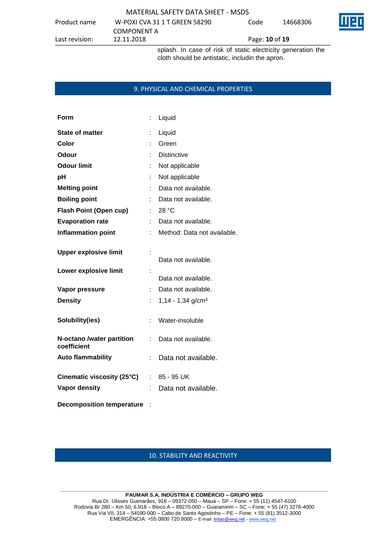#### MATERIAL SAFETY DATA SHEET - MSDS Product name W-POXI CVA 31 1 T GREEN 58290 COMPONENT A<br>12.11.2018 Code 14668306 Last revision: 12.11.2018 Page: **10** of **19**

splash. In case of risk of static electricity generation the cloth should be antistatic, includin the apron.

#### 9. PHYSICAL AND CHEMICAL PROPERTIES

| Form                                     | İ. | Liquid                          |
|------------------------------------------|----|---------------------------------|
| <b>State of matter</b>                   | t  | Liquid                          |
| Color                                    |    | Green                           |
| Odour                                    |    | <b>Distinctive</b>              |
| <b>Odour limit</b>                       |    | Not applicable                  |
| pH                                       |    | Not applicable                  |
| <b>Melting point</b>                     |    | Data not available.             |
| <b>Boiling point</b>                     |    | Data not available.             |
| <b>Flash Point (Open cup)</b>            | ÷  | 28 °C                           |
| <b>Evaporation rate</b>                  | t  | Data not available.             |
| <b>Inflammation point</b>                |    | Method: Data not available.     |
| <b>Upper explosive limit</b>             | t  | Data not available.             |
| Lower explosive limit                    | t  | Data not available.             |
| Vapor pressure                           | t. | Data not available.             |
| <b>Density</b>                           | t. | $1,14 - 1,34$ g/cm <sup>3</sup> |
| Solubility(ies)                          | t. | Water-insoluble                 |
| N-octano /water partition<br>coefficient | ÷  | Data not available.             |
| <b>Auto flammability</b>                 | t  | Data not available.             |
| Cinematic viscosity (25°C)               | t. | 85 - 95 UK                      |
| <b>Vapor density</b>                     |    | Data not available.             |
| <b>Decomposition temperature</b>         |    |                                 |

### 10. STABILITY AND REACTIVITY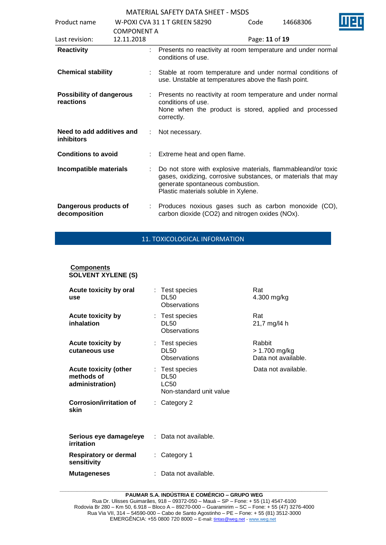| Product name                                 |                                  |  | W-POXI CVA 31 1 T GREEN 58290                                                                                                                                                                             | Code           | 14668306 |  |  |
|----------------------------------------------|----------------------------------|--|-----------------------------------------------------------------------------------------------------------------------------------------------------------------------------------------------------------|----------------|----------|--|--|
| Last revision:                               | <b>COMPONENT A</b><br>12.11.2018 |  |                                                                                                                                                                                                           | Page: 11 of 19 |          |  |  |
| <b>Reactivity</b>                            |                                  |  | Presents no reactivity at room temperature and under normal<br>conditions of use.                                                                                                                         |                |          |  |  |
| <b>Chemical stability</b>                    |                                  |  | Stable at room temperature and under normal conditions of<br>use. Unstable at temperatures above the flash point.                                                                                         |                |          |  |  |
| <b>Possibility of dangerous</b><br>reactions |                                  |  | Presents no reactivity at room temperature and under normal<br>conditions of use.<br>None when the product is stored, applied and processed<br>correctly.                                                 |                |          |  |  |
| Need to add additives and<br>inhibitors      |                                  |  | Not necessary.                                                                                                                                                                                            |                |          |  |  |
| <b>Conditions to avoid</b>                   |                                  |  | : Extreme heat and open flame.                                                                                                                                                                            |                |          |  |  |
| Incompatible materials                       |                                  |  | Do not store with explosive materials, flammableand/or toxic<br>gases, oxidizing, corrosive substances, or materials that may<br>generate spontaneous combustion.<br>Plastic materials soluble in Xylene. |                |          |  |  |
| Dangerous products of<br>decomposition       |                                  |  | Produces noxious gases such as carbon monoxide (CO),<br>carbon dioxide (CO2) and nitrogen oxides (NOx).                                                                                                   |                |          |  |  |

# 11. TOXICOLOGICAL INFORMATION

#### **Components SOLVENT XYLENE (S)**

| Acute toxicity by oral<br>use                                 | : Test species<br><b>DL50</b><br>Observations                           | Rat<br>4.300 mg/kg                             |
|---------------------------------------------------------------|-------------------------------------------------------------------------|------------------------------------------------|
| <b>Acute toxicity by</b><br>inhalation                        | : Test species<br>DL50<br>Observations                                  | Rat<br>21,7 mg/l4 h                            |
| <b>Acute toxicity by</b><br>cutaneous use                     | : Test species<br><b>DL50</b><br>Observations                           | Rabbit<br>> 1.700 mg/kg<br>Data not available. |
| <b>Acute toxicity (other</b><br>methods of<br>administration) | : Test species<br><b>DL50</b><br><b>LC50</b><br>Non-standard unit value | Data not available.                            |
| <b>Corrosion/irritation of</b><br>skin                        | $:$ Category 2                                                          |                                                |
| Serious eye damage/eye<br>irritation                          | : Data not available.                                                   |                                                |
| Respiratory or dermal<br>sensitivity                          | : Category 1                                                            |                                                |
| <b>Mutageneses</b>                                            | Data not available.                                                     |                                                |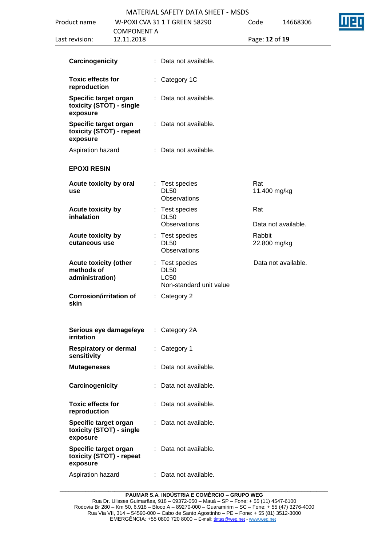| Product name                                                  |                                  |    | W-POXI CVA 31 1 T GREEN 58290                                           | Code |                        | 14668306            |  |
|---------------------------------------------------------------|----------------------------------|----|-------------------------------------------------------------------------|------|------------------------|---------------------|--|
| Last revision:                                                | <b>COMPONENT A</b><br>12.11.2018 |    |                                                                         |      | Page: 12 of 19         |                     |  |
| Carcinogenicity                                               |                                  |    | : Data not available.                                                   |      |                        |                     |  |
| <b>Toxic effects for</b><br>reproduction                      |                                  |    | : Category 1C                                                           |      |                        |                     |  |
| Specific target organ<br>toxicity (STOT) - single<br>exposure |                                  |    | Data not available.                                                     |      |                        |                     |  |
| Specific target organ<br>toxicity (STOT) - repeat<br>exposure |                                  | ÷. | Data not available.                                                     |      |                        |                     |  |
| Aspiration hazard                                             |                                  |    | : Data not available.                                                   |      |                        |                     |  |
| <b>EPOXI RESIN</b>                                            |                                  |    |                                                                         |      |                        |                     |  |
| Acute toxicity by oral<br>use                                 |                                  |    | : Test species<br><b>DL50</b><br>Observations                           |      | Rat<br>11.400 mg/kg    |                     |  |
| <b>Acute toxicity by</b><br>inhalation                        |                                  |    | : Test species<br><b>DL50</b><br>Observations                           |      | Rat                    | Data not available. |  |
| Acute toxicity by<br>cutaneous use                            |                                  |    | : Test species<br><b>DL50</b><br>Observations                           |      | Rabbit<br>22.800 mg/kg |                     |  |
| <b>Acute toxicity (other</b><br>methods of<br>administration) |                                  |    | : Test species<br><b>DL50</b><br><b>LC50</b><br>Non-standard unit value |      |                        | Data not available. |  |
| <b>Corrosion/irritation of</b><br>skin                        |                                  |    | Category 2                                                              |      |                        |                     |  |
| Serious eye damage/eye<br><b>irritation</b>                   |                                  | ÷. | Category 2A                                                             |      |                        |                     |  |
| <b>Respiratory or dermal</b><br>sensitivity                   |                                  | ÷. | Category 1                                                              |      |                        |                     |  |
| <b>Mutageneses</b>                                            |                                  |    | : Data not available.                                                   |      |                        |                     |  |
| Carcinogenicity                                               |                                  | ÷. | Data not available.                                                     |      |                        |                     |  |
| <b>Toxic effects for</b><br>reproduction                      |                                  |    | : Data not available.                                                   |      |                        |                     |  |
| Specific target organ<br>toxicity (STOT) - single<br>exposure |                                  | ÷. | Data not available.                                                     |      |                        |                     |  |
| Specific target organ<br>toxicity (STOT) - repeat<br>exposure |                                  |    | : Data not available.                                                   |      |                        |                     |  |
| Aspiration hazard                                             |                                  |    | Data not available.                                                     |      |                        |                     |  |
|                                                               |                                  |    |                                                                         |      |                        |                     |  |

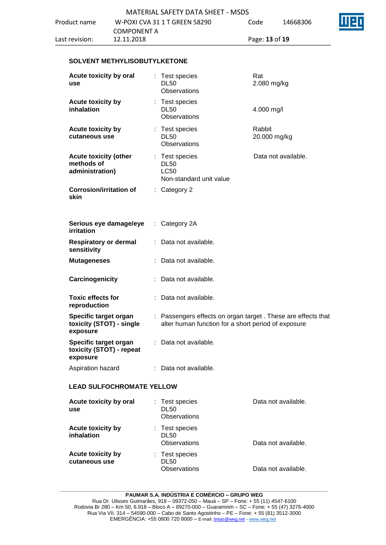#### **SOLVENT METHYLISOBUTYLKETONE**

| Acute toxicity by oral<br>use                                 | : Test species<br><b>DL50</b><br>Observations                                                                       | Rat<br>2.080 mg/kg     |
|---------------------------------------------------------------|---------------------------------------------------------------------------------------------------------------------|------------------------|
| <b>Acute toxicity by</b><br>inhalation                        | : Test species<br><b>DL50</b><br>Observations                                                                       | 4.000 mg/l             |
| <b>Acute toxicity by</b><br>cutaneous use                     | : Test species<br><b>DL50</b><br>Observations                                                                       | Rabbit<br>20.000 mg/kg |
| <b>Acute toxicity (other</b><br>methods of<br>administration) | : Test species<br><b>DL50</b><br><b>LC50</b><br>Non-standard unit value                                             | Data not available.    |
| <b>Corrosion/irritation of</b><br>skin                        | : Category 2                                                                                                        |                        |
| Serious eye damage/eye<br>irritation                          | $:$ Category 2A                                                                                                     |                        |
| <b>Respiratory or dermal</b><br>sensitivity                   | : Data not available.                                                                                               |                        |
| <b>Mutageneses</b>                                            | Data not available.                                                                                                 |                        |
| Carcinogenicity                                               | Data not available.                                                                                                 |                        |
| <b>Toxic effects for</b><br>reproduction                      | : Data not available.                                                                                               |                        |
| Specific target organ<br>toxicity (STOT) - single<br>exposure | : Passengers effects on organ target. These are effects that<br>alter human function for a short period of exposure |                        |
| Specific target organ<br>toxicity (STOT) - repeat<br>exposure | : Data not available.                                                                                               |                        |
| Aspiration hazard                                             | : Data not available.                                                                                               |                        |
| <b>LEAD SULFOCHROMATE YELLOW</b>                              |                                                                                                                     |                        |
| Acute toxicity by oral<br>use                                 | : Test species<br><b>DL50</b><br>Observations                                                                       | Data not available.    |
| Acute toxicity by<br>inhalation                               | : Test species<br><b>DL50</b><br>Observations                                                                       | Data not available.    |
| Acute toxicity by<br>cutaneous use                            | : Test species<br><b>DL50</b><br><b>Observations</b>                                                                | Data not available.    |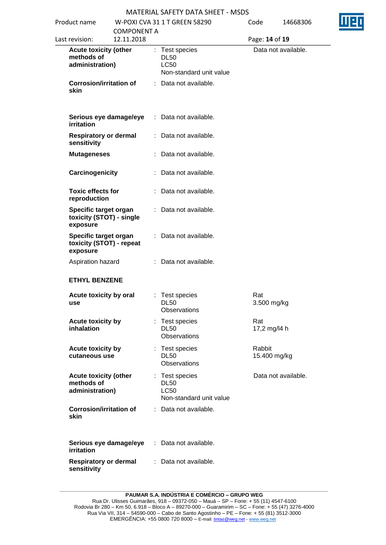| Product name                                                  | <b>COMPONENT A</b> | W-POXI CVA 31 1 T GREEN 58290                                           | Code                   | 14668306            |  |  |
|---------------------------------------------------------------|--------------------|-------------------------------------------------------------------------|------------------------|---------------------|--|--|
| Last revision:                                                | 12.11.2018         |                                                                         |                        | Page: 14 of 19      |  |  |
| <b>Acute toxicity (other</b><br>methods of<br>administration) |                    | : Test species<br><b>DL50</b><br><b>LC50</b><br>Non-standard unit value |                        | Data not available. |  |  |
| <b>Corrosion/irritation of</b><br>skin                        |                    | : Data not available.                                                   |                        |                     |  |  |
| Serious eye damage/eye<br>irritation                          |                    | : Data not available.                                                   |                        |                     |  |  |
| <b>Respiratory or dermal</b><br>sensitivity                   |                    | : Data not available.                                                   |                        |                     |  |  |
| <b>Mutageneses</b>                                            |                    | : Data not available.                                                   |                        |                     |  |  |
| Carcinogenicity                                               |                    | : Data not available.                                                   |                        |                     |  |  |
| <b>Toxic effects for</b><br>reproduction                      |                    | : Data not available.                                                   |                        |                     |  |  |
| Specific target organ<br>toxicity (STOT) - single<br>exposure |                    | : Data not available.                                                   |                        |                     |  |  |
| Specific target organ<br>toxicity (STOT) - repeat<br>exposure |                    | : Data not available.                                                   |                        |                     |  |  |
| Aspiration hazard                                             |                    | : Data not available.                                                   |                        |                     |  |  |
| <b>ETHYL BENZENE</b>                                          |                    |                                                                         |                        |                     |  |  |
| Acute toxicity by oral<br>use                                 |                    | : Test species<br><b>DL50</b><br>Observations                           | Rat<br>3.500 mg/kg     |                     |  |  |
| Acute toxicity by<br>inhalation                               |                    | Test species<br><b>DL50</b><br>Observations                             | Rat<br>17,2 mg/l4 h    |                     |  |  |
| Acute toxicity by<br>cutaneous use                            |                    | : Test species<br><b>DL50</b><br><b>Observations</b>                    | Rabbit<br>15.400 mg/kg |                     |  |  |
| <b>Acute toxicity (other</b><br>methods of<br>administration) |                    | : Test species<br><b>DL50</b><br><b>LC50</b><br>Non-standard unit value |                        | Data not available. |  |  |
| <b>Corrosion/irritation of</b><br>skin                        |                    | : Data not available.                                                   |                        |                     |  |  |
| Serious eye damage/eye<br>irritation                          |                    | : Data not available.                                                   |                        |                     |  |  |
| <b>Respiratory or dermal</b><br>sensitivity                   |                    | : Data not available.                                                   |                        |                     |  |  |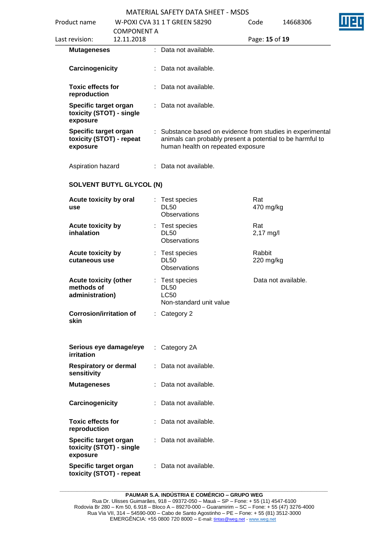| Product name                                                  |                                 | W-POXI CVA 31 1 T GREEN 58290                                                                                                                                | Code                | 14668306            |
|---------------------------------------------------------------|---------------------------------|--------------------------------------------------------------------------------------------------------------------------------------------------------------|---------------------|---------------------|
|                                                               |                                 |                                                                                                                                                              |                     |                     |
|                                                               | <b>COMPONENT A</b>              |                                                                                                                                                              |                     |                     |
| Last revision:                                                | 12.11.2018                      |                                                                                                                                                              | Page: 15 of 19      |                     |
| <b>Mutageneses</b>                                            |                                 | : Data not available.                                                                                                                                        |                     |                     |
| Carcinogenicity                                               |                                 | : Data not available.                                                                                                                                        |                     |                     |
| <b>Toxic effects for</b><br>reproduction                      |                                 | : Data not available.                                                                                                                                        |                     |                     |
| Specific target organ<br>toxicity (STOT) - single<br>exposure |                                 | : Data not available.                                                                                                                                        |                     |                     |
| Specific target organ<br>toxicity (STOT) - repeat<br>exposure |                                 | : Substance based on evidence from studies in experimental<br>animals can probably present a potential to be harmful to<br>human health on repeated exposure |                     |                     |
| Aspiration hazard                                             |                                 | : Data not available.                                                                                                                                        |                     |                     |
|                                                               | <b>SOLVENT BUTYL GLYCOL (N)</b> |                                                                                                                                                              |                     |                     |
| Acute toxicity by oral<br>use                                 |                                 | : Test species<br><b>DL50</b><br>Observations                                                                                                                | Rat<br>470 mg/kg    |                     |
| Acute toxicity by<br>inhalation                               |                                 | : Test species<br><b>DL50</b><br>Observations                                                                                                                | Rat<br>2,17 mg/l    |                     |
| Acute toxicity by<br>cutaneous use                            |                                 | : Test species<br><b>DL50</b><br>Observations                                                                                                                | Rabbit<br>220 mg/kg |                     |
| <b>Acute toxicity (other</b><br>methods of<br>administration) |                                 | : Test species<br><b>DL50</b><br><b>LC50</b><br>Non-standard unit value                                                                                      |                     | Data not available. |
| <b>Corrosion/irritation of</b><br>skin                        |                                 | $:$ Category 2                                                                                                                                               |                     |                     |
| Serious eye damage/eye<br><b>irritation</b>                   |                                 | : Category 2A                                                                                                                                                |                     |                     |
| <b>Respiratory or dermal</b><br>sensitivity                   |                                 | Data not available.                                                                                                                                          |                     |                     |
| <b>Mutageneses</b>                                            |                                 | : Data not available.                                                                                                                                        |                     |                     |
| Carcinogenicity                                               |                                 | Data not available.                                                                                                                                          |                     |                     |
| <b>Toxic effects for</b><br>reproduction                      |                                 | Data not available.                                                                                                                                          |                     |                     |
| Specific target organ<br>toxicity (STOT) - single<br>exposure |                                 | Data not available.                                                                                                                                          |                     |                     |
| Specific target organ<br>toxicity (STOT) - repeat             |                                 | : Data not available.                                                                                                                                        |                     |                     |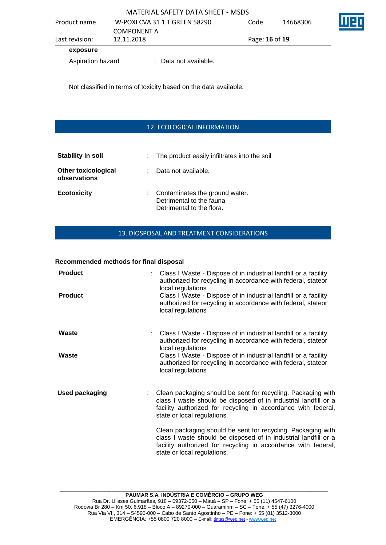|                   |             | MATERIAL SAFETY DATA SHEET - MSDS |      |                |          |  |  |
|-------------------|-------------|-----------------------------------|------|----------------|----------|--|--|
| Product name      | COMPONENT A | W-POXI CVA 31 1 T GREEN 58290     | Code |                | 14668306 |  |  |
| Last revision:    | 12.11.2018  |                                   |      | Page: 16 of 19 |          |  |  |
| exposure          |             |                                   |      |                |          |  |  |
| Aspiration hazard |             | : Data not available.             |      |                |          |  |  |

Not classified in terms of toxicity based on the data available.

#### 12. ECOLOGICAL INFORMATION

| Stability in soil                          | : The product easily infiltrates into the soil                                            |
|--------------------------------------------|-------------------------------------------------------------------------------------------|
| <b>Other toxicological</b><br>observations | Data not available.                                                                       |
| <b>Ecotoxicity</b>                         | : Contaminates the ground water.<br>Detrimental to the fauna<br>Detrimental to the flora. |

#### 13. DIOSPOSAL AND TREATMENT CONSIDERATIONS

#### **Recommended methods for final disposal**

| <b>Product</b><br><b>Product</b> | : Class I Waste - Dispose of in industrial landfill or a facility<br>authorized for recycling in accordance with federal, stateor<br>local regulations<br>Class I Waste - Dispose of in industrial landfill or a facility<br>authorized for recycling in accordance with federal, stateor<br>local regulations |
|----------------------------------|----------------------------------------------------------------------------------------------------------------------------------------------------------------------------------------------------------------------------------------------------------------------------------------------------------------|
| Waste<br>Waste                   | Class I Waste - Dispose of in industrial landfill or a facility<br>authorized for recycling in accordance with federal, stateor<br>local regulations<br>Class I Waste - Dispose of in industrial landfill or a facility<br>authorized for recycling in accordance with federal, stateor                        |
|                                  | local regulations                                                                                                                                                                                                                                                                                              |
| <b>Used packaging</b>            | Clean packaging should be sent for recycling. Packaging with<br>class I waste should be disposed of in industrial landfill or a<br>facility authorized for recycling in accordance with federal,<br>state or local regulations.                                                                                |
|                                  | Clean packaging should be sent for recycling. Packaging with<br>class I waste should be disposed of in industrial landfill or a<br>facility authorized for recycling in accordance with federal,<br>state or local regulations.                                                                                |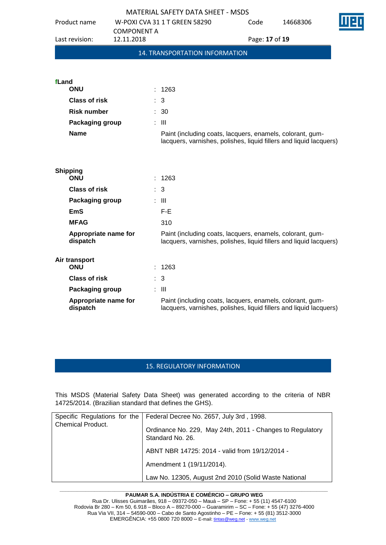| <b>MATERIAL SAFETY DATA SHEET - MSDS</b>                                                                                                                            |  |
|---------------------------------------------------------------------------------------------------------------------------------------------------------------------|--|
| Product name<br>W-POXI CVA 31 1 T GREEN 58290<br>14668306<br>Code                                                                                                   |  |
| <b>COMPONENT A</b><br>12.11.2018<br>Last revision:<br>Page: 17 of 19                                                                                                |  |
| 14. TRANSPORTATION INFORMATION                                                                                                                                      |  |
|                                                                                                                                                                     |  |
| fLand                                                                                                                                                               |  |
| <b>ONU</b><br>1263                                                                                                                                                  |  |
| Class of risk<br>: 3                                                                                                                                                |  |
| <b>Risk number</b><br>$\therefore$ 30                                                                                                                               |  |
| Packaging group<br>: III                                                                                                                                            |  |
| <b>Name</b><br>Paint (including coats, lacquers, enamels, colorant, gum-<br>lacquers, varnishes, polishes, liquid fillers and liquid lacquers)                      |  |
|                                                                                                                                                                     |  |
| <b>Shipping</b><br><b>ONU</b><br>: 1263                                                                                                                             |  |
| Class of risk<br>: 3                                                                                                                                                |  |
| Packaging group<br>: III                                                                                                                                            |  |
| F-E<br><b>EmS</b>                                                                                                                                                   |  |
| <b>MFAG</b><br>310                                                                                                                                                  |  |
| Appropriate name for<br>Paint (including coats, lacquers, enamels, colorant, gum-<br>dispatch<br>lacquers, varnishes, polishes, liquid fillers and liquid lacquers) |  |
| Air transport                                                                                                                                                       |  |
| <b>ONU</b><br>1263                                                                                                                                                  |  |
| Class of risk<br>$\therefore$ 3                                                                                                                                     |  |
| $\therefore$ III<br>Packaging group                                                                                                                                 |  |
| Appropriate name for<br>Paint (including coats, lacquers, enamels, colorant, gum-<br>dispatch<br>lacquers, varnishes, polishes, liquid fillers and liquid lacquers) |  |

#### 15. REGULATORY INFORMATION

This MSDS (Material Safety Data Sheet) was generated according to the criteria of NBR 14725/2014. (Brazilian standard that defines the GHS).

| <b>Chemical Product.</b> | Specific Regulations for the   Federal Decree No. 2657, July 3rd, 1998.<br>Ordinance No. 229, May 24th, 2011 - Changes to Regulatory |
|--------------------------|--------------------------------------------------------------------------------------------------------------------------------------|
|                          | Standard No. 26.                                                                                                                     |
|                          | ABNT NBR 14725: 2014 - valid from 19/12/2014 -                                                                                       |
|                          | Amendment 1 (19/11/2014).                                                                                                            |
|                          | Law No. 12305, August 2nd 2010 (Solid Waste National                                                                                 |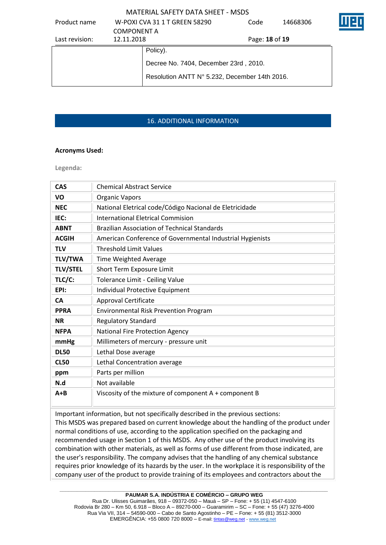| Product name   |                    | W-POXI CVA 31 1 T GREEN 58290                 | Code           | 14668306 |  |
|----------------|--------------------|-----------------------------------------------|----------------|----------|--|
|                | <b>COMPONENT A</b> |                                               |                |          |  |
| Last revision: | 12.11.2018         |                                               | Page: 18 of 19 |          |  |
|                |                    | Policy).                                      |                |          |  |
|                |                    | Decree No. 7404, December 23rd, 2010.         |                |          |  |
|                |                    | Resolution ANTT N° 5.232, December 14th 2016. |                |          |  |
|                |                    |                                               |                |          |  |

# 16. ADDITIONAL INFORMATION

#### **Acronyms Used:**

**Legenda:**

| <b>CAS</b>      | <b>Chemical Abstract Service</b>                          |
|-----------------|-----------------------------------------------------------|
| VO              | <b>Organic Vapors</b>                                     |
| <b>NEC</b>      | National Eletrical code/Código Nacional de Eletricidade   |
| IEC:            | <b>International Eletrical Commision</b>                  |
| <b>ABNT</b>     | <b>Brazilian Association of Technical Standards</b>       |
| <b>ACGIH</b>    | American Conference of Governmental Industrial Hygienists |
| <b>TLV</b>      | <b>Threshold Limit Values</b>                             |
| <b>TLV/TWA</b>  | Time Weighted Average                                     |
| <b>TLV/STEL</b> | Short Term Exposure Limit                                 |
| TLC/C:          | Tolerance Limit - Ceiling Value                           |
| EPI:            | Individual Protective Equipment                           |
| <b>CA</b>       | <b>Approval Certificate</b>                               |
| <b>PPRA</b>     | <b>Environmental Risk Prevention Program</b>              |
| <b>NR</b>       | <b>Regulatory Standard</b>                                |
| <b>NFPA</b>     | <b>National Fire Protection Agency</b>                    |
| mmHg            | Millimeters of mercury - pressure unit                    |
| <b>DL50</b>     | Lethal Dose average                                       |
| <b>CL50</b>     | Lethal Concentration average                              |
| ppm             | Parts per million                                         |
| N.d             | Not available                                             |
| $A + B$         | Viscosity of the mixture of component A + component B     |

Important information, but not specifically described in the previous sections: This MSDS was prepared based on current knowledge about the handling of the product under normal conditions of use, according to the application specified on the packaging and recommended usage in Section 1 of this MSDS. Any other use of the product involving its combination with other materials, as well as forms of use different from those indicated, are the user's responsibility. The company advises that the handling of any chemical substance requires prior knowledge of its hazards by the user. In the workplace it is responsibility of the company user of the product to provide training of its employees and contractors about the